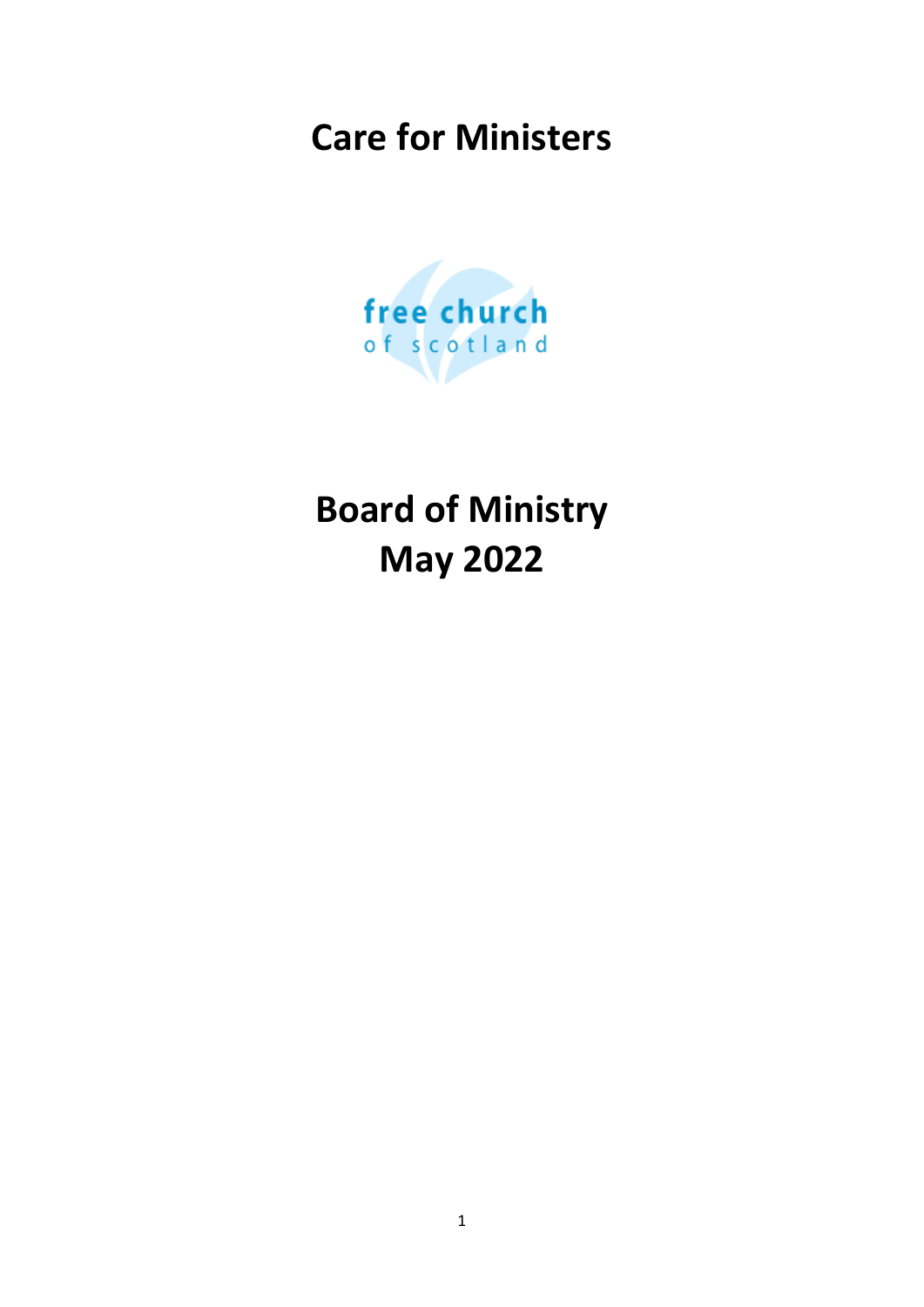# **Care for Ministers**



**Board of Ministry May 2022**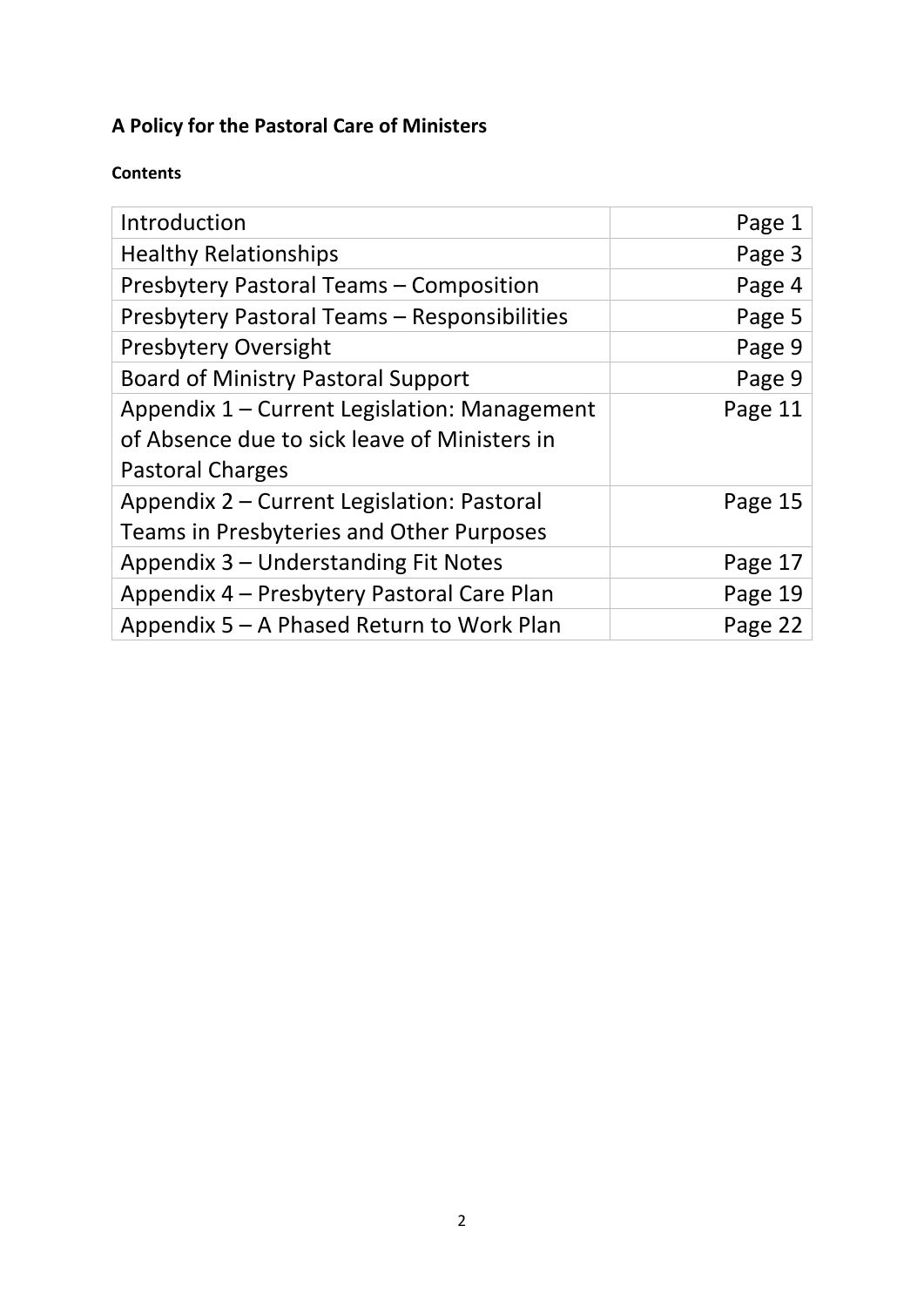## **A Policy for the Pastoral Care of Ministers**

## **Contents**

| Introduction                                   | Page 1  |
|------------------------------------------------|---------|
| <b>Healthy Relationships</b>                   | Page 3  |
| <b>Presbytery Pastoral Teams - Composition</b> | Page 4  |
| Presbytery Pastoral Teams - Responsibilities   | Page 5  |
| <b>Presbytery Oversight</b>                    | Page 9  |
| <b>Board of Ministry Pastoral Support</b>      | Page 9  |
| Appendix 1 – Current Legislation: Management   | Page 11 |
| of Absence due to sick leave of Ministers in   |         |
| <b>Pastoral Charges</b>                        |         |
| Appendix 2 – Current Legislation: Pastoral     | Page 15 |
| Teams in Presbyteries and Other Purposes       |         |
| Appendix 3 – Understanding Fit Notes           | Page 17 |
| Appendix 4 – Presbytery Pastoral Care Plan     | Page 19 |
| Appendix 5 – A Phased Return to Work Plan      | Page 22 |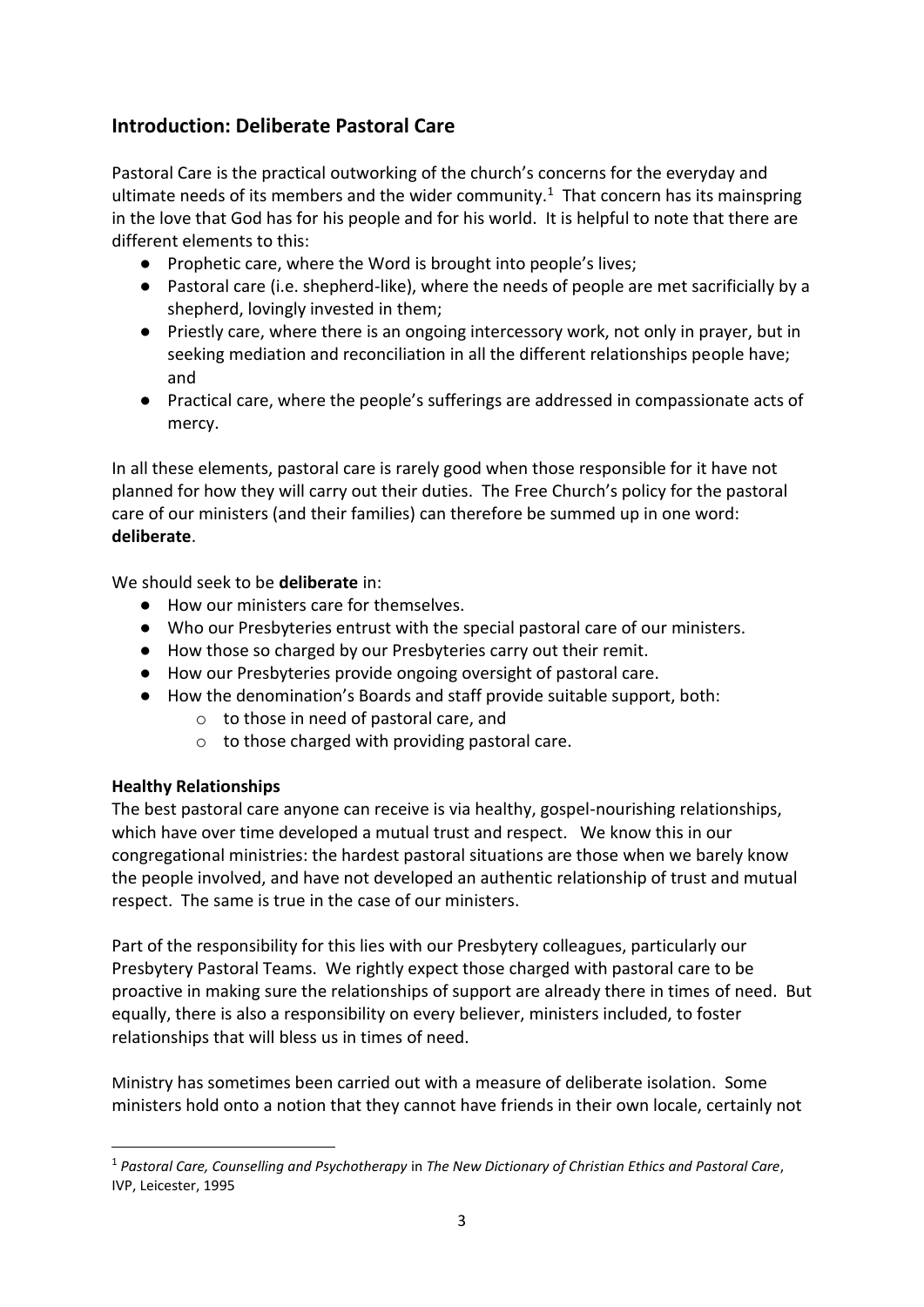## **Introduction: Deliberate Pastoral Care**

Pastoral Care is the practical outworking of the church's concerns for the everyday and ultimate needs of its members and the wider community.<sup>1</sup> That concern has its mainspring in the love that God has for his people and for his world. It is helpful to note that there are different elements to this:

- Prophetic care, where the Word is brought into people's lives;
- Pastoral care (i.e. shepherd-like), where the needs of people are met sacrificially by a shepherd, lovingly invested in them;
- Priestly care, where there is an ongoing intercessory work, not only in prayer, but in seeking mediation and reconciliation in all the different relationships people have; and
- Practical care, where the people's sufferings are addressed in compassionate acts of mercy.

In all these elements, pastoral care is rarely good when those responsible for it have not planned for how they will carry out their duties. The Free Church's policy for the pastoral care of our ministers (and their families) can therefore be summed up in one word: **deliberate**.

We should seek to be **deliberate** in:

- How our ministers care for themselves.
- Who our Presbyteries entrust with the special pastoral care of our ministers.
- How those so charged by our Presbyteries carry out their remit.
- How our Presbyteries provide ongoing oversight of pastoral care.
- How the denomination's Boards and staff provide suitable support, both:
	- o to those in need of pastoral care, and
	- $\circ$  to those charged with providing pastoral care.

#### **Healthy Relationships**

**.** 

The best pastoral care anyone can receive is via healthy, gospel-nourishing relationships, which have over time developed a mutual trust and respect. We know this in our congregational ministries: the hardest pastoral situations are those when we barely know the people involved, and have not developed an authentic relationship of trust and mutual respect. The same is true in the case of our ministers.

Part of the responsibility for this lies with our Presbytery colleagues, particularly our Presbytery Pastoral Teams. We rightly expect those charged with pastoral care to be proactive in making sure the relationships of support are already there in times of need. But equally, there is also a responsibility on every believer, ministers included, to foster relationships that will bless us in times of need.

Ministry has sometimes been carried out with a measure of deliberate isolation. Some ministers hold onto a notion that they cannot have friends in their own locale, certainly not

<sup>1</sup> *Pastoral Care, Counselling and Psychotherapy* in *The New Dictionary of Christian Ethics and Pastoral Care*, IVP, Leicester, 1995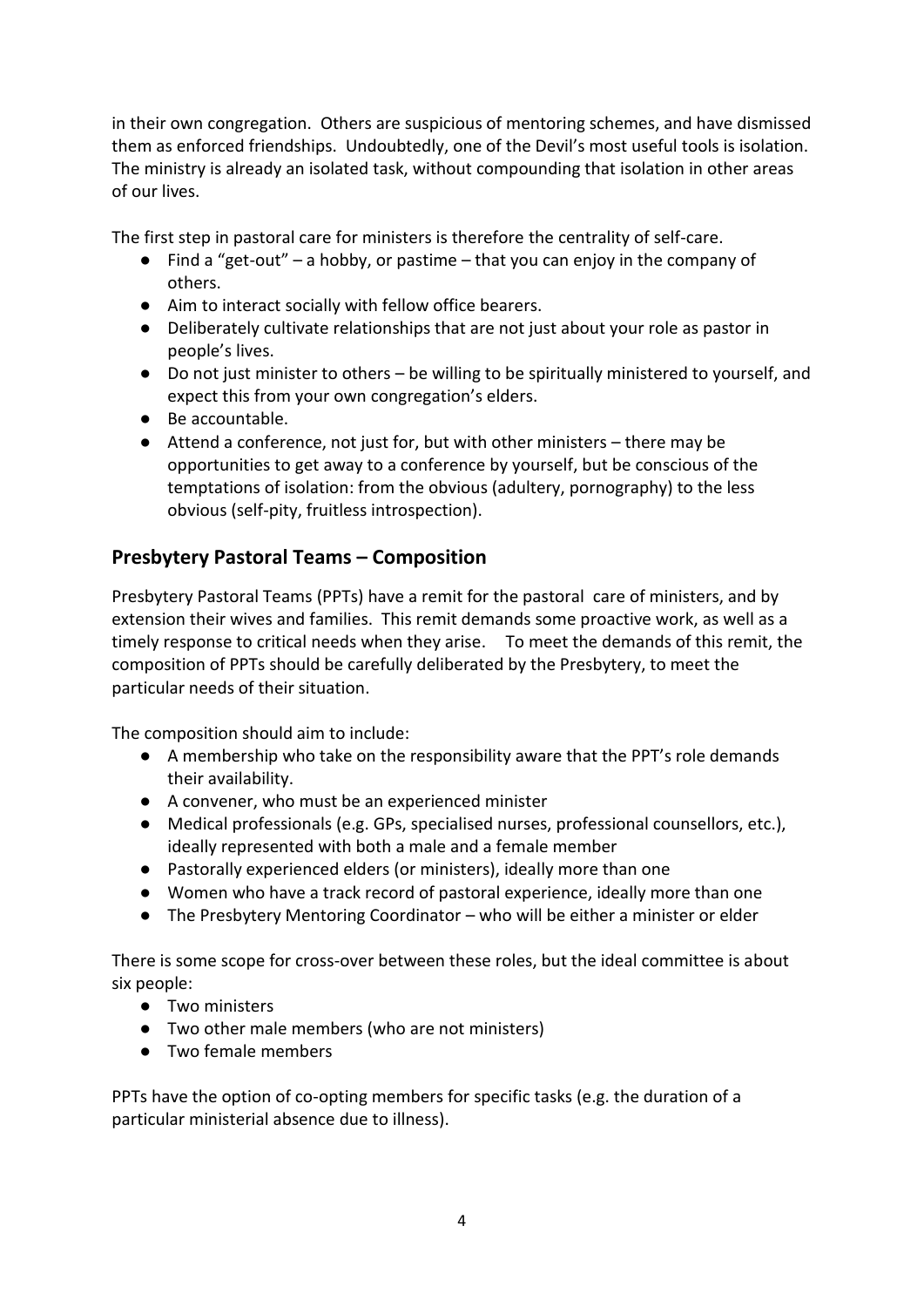in their own congregation. Others are suspicious of mentoring schemes, and have dismissed them as enforced friendships. Undoubtedly, one of the Devil's most useful tools is isolation. The ministry is already an isolated task, without compounding that isolation in other areas of our lives.

The first step in pastoral care for ministers is therefore the centrality of self-care.

- $\bullet$  Find a "get-out" a hobby, or pastime that you can enjoy in the company of others.
- Aim to interact socially with fellow office bearers.
- Deliberately cultivate relationships that are not just about your role as pastor in people's lives.
- Do not just minister to others be willing to be spiritually ministered to yourself, and expect this from your own congregation's elders.
- Be accountable.
- Attend a conference, not just for, but with other ministers there may be opportunities to get away to a conference by yourself, but be conscious of the temptations of isolation: from the obvious (adultery, pornography) to the less obvious (self-pity, fruitless introspection).

## **Presbytery Pastoral Teams – Composition**

Presbytery Pastoral Teams (PPTs) have a remit for the pastoral care of ministers, and by extension their wives and families. This remit demands some proactive work, as well as a timely response to critical needs when they arise. To meet the demands of this remit, the composition of PPTs should be carefully deliberated by the Presbytery, to meet the particular needs of their situation.

The composition should aim to include:

- A membership who take on the responsibility aware that the PPT's role demands their availability.
- A convener, who must be an experienced minister
- Medical professionals (e.g. GPs, specialised nurses, professional counsellors, etc.), ideally represented with both a male and a female member
- Pastorally experienced elders (or ministers), ideally more than one
- Women who have a track record of pastoral experience, ideally more than one
- The Presbytery Mentoring Coordinator who will be either a minister or elder

There is some scope for cross-over between these roles, but the ideal committee is about six people:

- Two ministers
- Two other male members (who are not ministers)
- Two female members

PPTs have the option of co-opting members for specific tasks (e.g. the duration of a particular ministerial absence due to illness).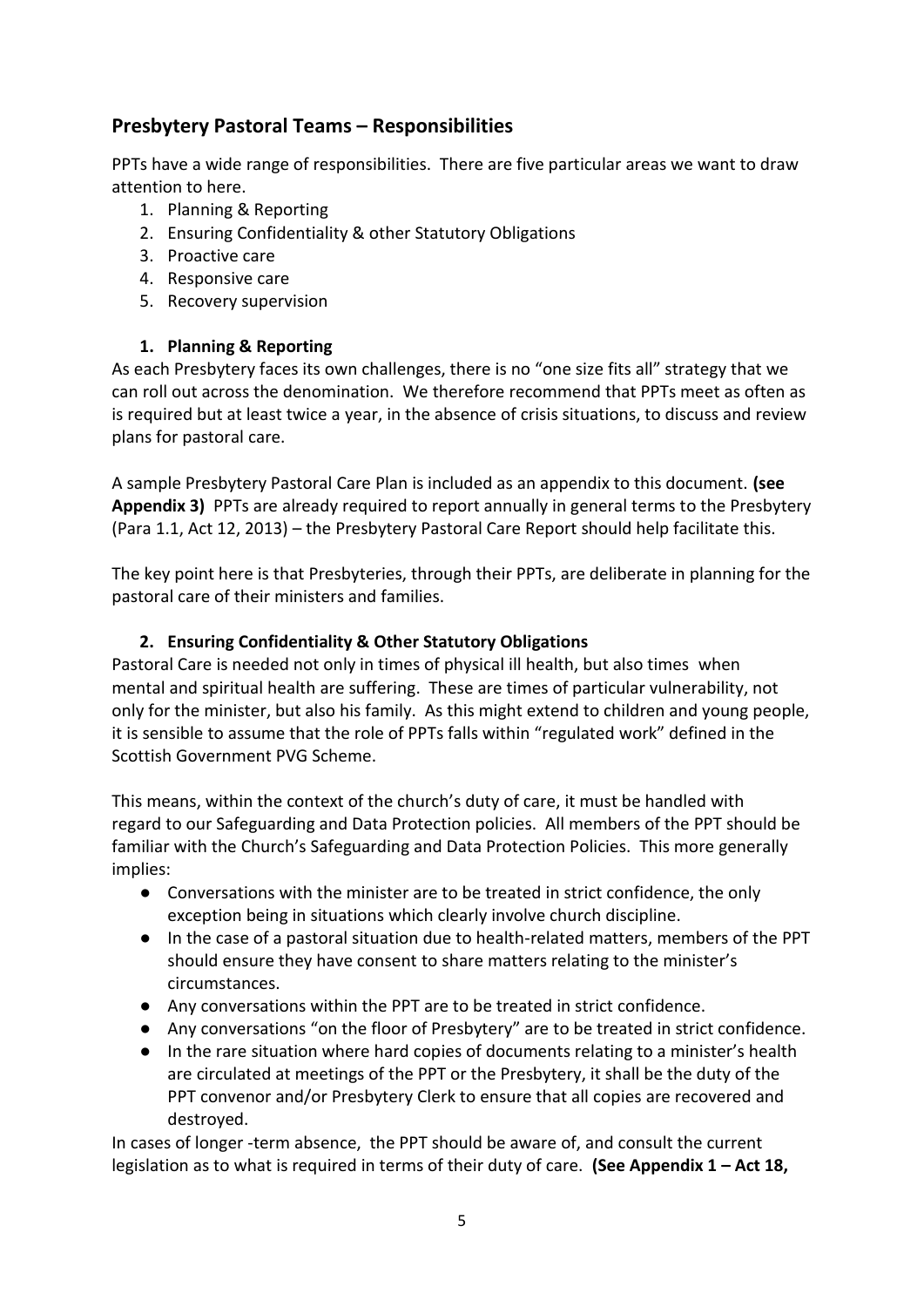## **Presbytery Pastoral Teams – Responsibilities**

PPTs have a wide range of responsibilities. There are five particular areas we want to draw attention to here.

- 1. Planning & Reporting
- 2. Ensuring Confidentiality & other Statutory Obligations
- 3. Proactive care
- 4. Responsive care
- 5. Recovery supervision

#### **1. Planning & Reporting**

As each Presbytery faces its own challenges, there is no "one size fits all" strategy that we can roll out across the denomination. We therefore recommend that PPTs meet as often as is required but at least twice a year, in the absence of crisis situations, to discuss and review plans for pastoral care.

A sample Presbytery Pastoral Care Plan is included as an appendix to this document. **(see Appendix 3)** PPTs are already required to report annually in general terms to the Presbytery (Para 1.1, Act 12, 2013) – the Presbytery Pastoral Care Report should help facilitate this.

The key point here is that Presbyteries, through their PPTs, are deliberate in planning for the pastoral care of their ministers and families.

#### **2. Ensuring Confidentiality & Other Statutory Obligations**

Pastoral Care is needed not only in times of physical ill health, but also times when mental and spiritual health are suffering. These are times of particular vulnerability, not only for the minister, but also his family. As this might extend to children and young people, it is sensible to assume that the role of PPTs falls within "regulated work" defined in the Scottish Government PVG Scheme.

This means, within the context of the church's duty of care, it must be handled with regard to our Safeguarding and Data Protection policies. All members of the PPT should be familiar with the Church's Safeguarding and Data Protection Policies. This more generally implies:

- Conversations with the minister are to be treated in strict confidence, the only exception being in situations which clearly involve church discipline.
- In the case of a pastoral situation due to health-related matters, members of the PPT should ensure they have consent to share matters relating to the minister's circumstances.
- Any conversations within the PPT are to be treated in strict confidence.
- Any conversations "on the floor of Presbytery" are to be treated in strict confidence.
- In the rare situation where hard copies of documents relating to a minister's health are circulated at meetings of the PPT or the Presbytery, it shall be the duty of the PPT convenor and/or Presbytery Clerk to ensure that all copies are recovered and destroyed.

In cases of longer -term absence, the PPT should be aware of, and consult the current legislation as to what is required in terms of their duty of care. **(See Appendix 1 – Act 18,**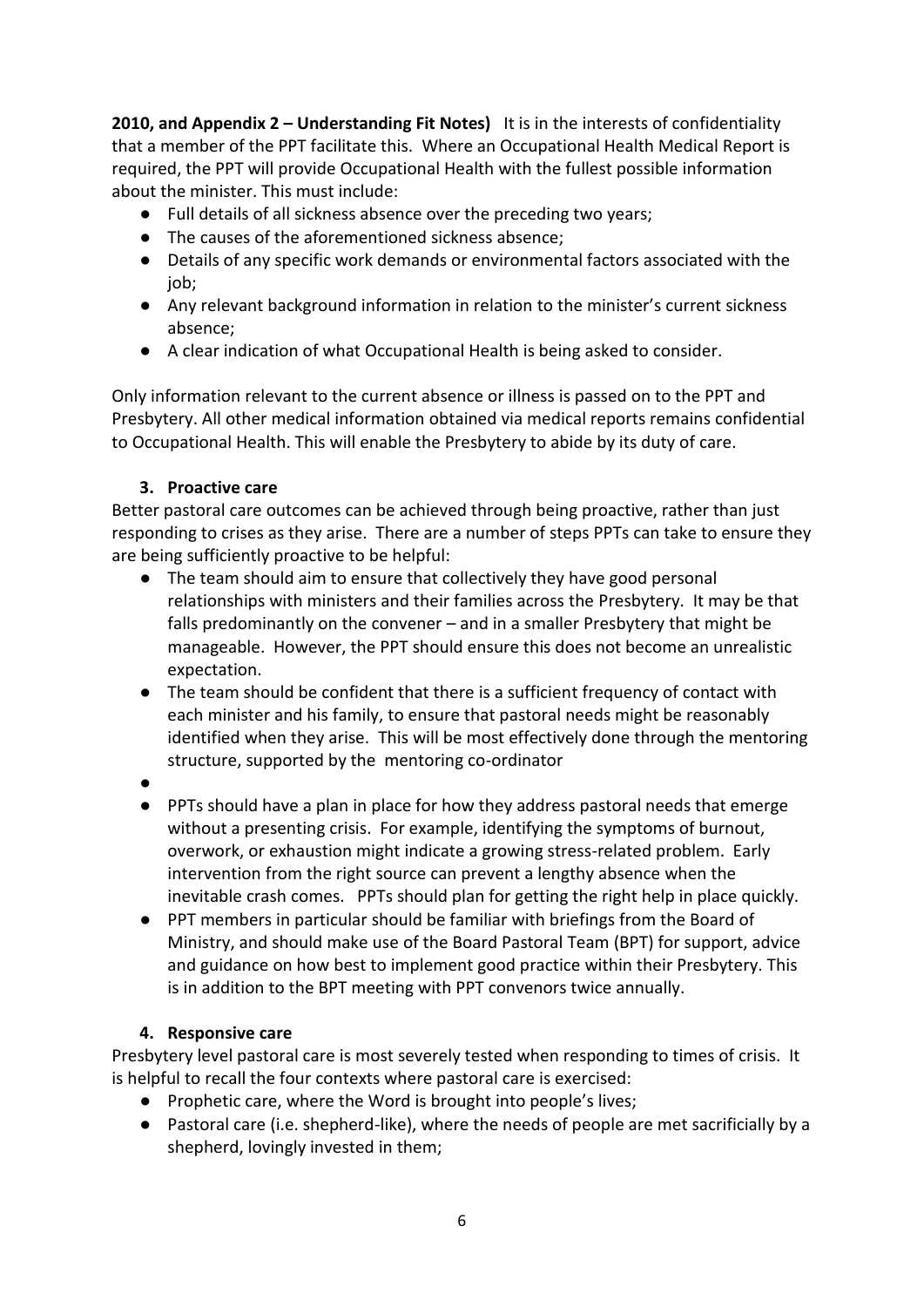**2010, and Appendix 2 – Understanding Fit Notes)** It is in the interests of confidentiality that a member of the PPT facilitate this. Where an Occupational Health Medical Report is required, the PPT will provide Occupational Health with the fullest possible information about the minister. This must include:

- Full details of all sickness absence over the preceding two years;
- The causes of the aforementioned sickness absence;
- Details of any specific work demands or environmental factors associated with the iob:
- Any relevant background information in relation to the minister's current sickness absence;
- A clear indication of what Occupational Health is being asked to consider.

Only information relevant to the current absence or illness is passed on to the PPT and Presbytery. All other medical information obtained via medical reports remains confidential to Occupational Health. This will enable the Presbytery to abide by its duty of care.

#### **3. Proactive care**

Better pastoral care outcomes can be achieved through being proactive, rather than just responding to crises as they arise. There are a number of steps PPTs can take to ensure they are being sufficiently proactive to be helpful:

- The team should aim to ensure that collectively they have good personal relationships with ministers and their families across the Presbytery. It may be that falls predominantly on the convener – and in a smaller Presbytery that might be manageable. However, the PPT should ensure this does not become an unrealistic expectation.
- The team should be confident that there is a sufficient frequency of contact with each minister and his family, to ensure that pastoral needs might be reasonably identified when they arise. This will be most effectively done through the mentoring structure, supported by the mentoring co-ordinator
- ●
- PPTs should have a plan in place for how they address pastoral needs that emerge without a presenting crisis. For example, identifying the symptoms of burnout, overwork, or exhaustion might indicate a growing stress-related problem. Early intervention from the right source can prevent a lengthy absence when the inevitable crash comes. PPTs should plan for getting the right help in place quickly.
- PPT members in particular should be familiar with briefings from the Board of Ministry, and should make use of the Board Pastoral Team (BPT) for support, advice and guidance on how best to implement good practice within their Presbytery. This is in addition to the BPT meeting with PPT convenors twice annually.

#### **4. Responsive care**

Presbytery level pastoral care is most severely tested when responding to times of crisis. It is helpful to recall the four contexts where pastoral care is exercised:

- Prophetic care, where the Word is brought into people's lives;
- Pastoral care (i.e. shepherd-like), where the needs of people are met sacrificially by a shepherd, lovingly invested in them;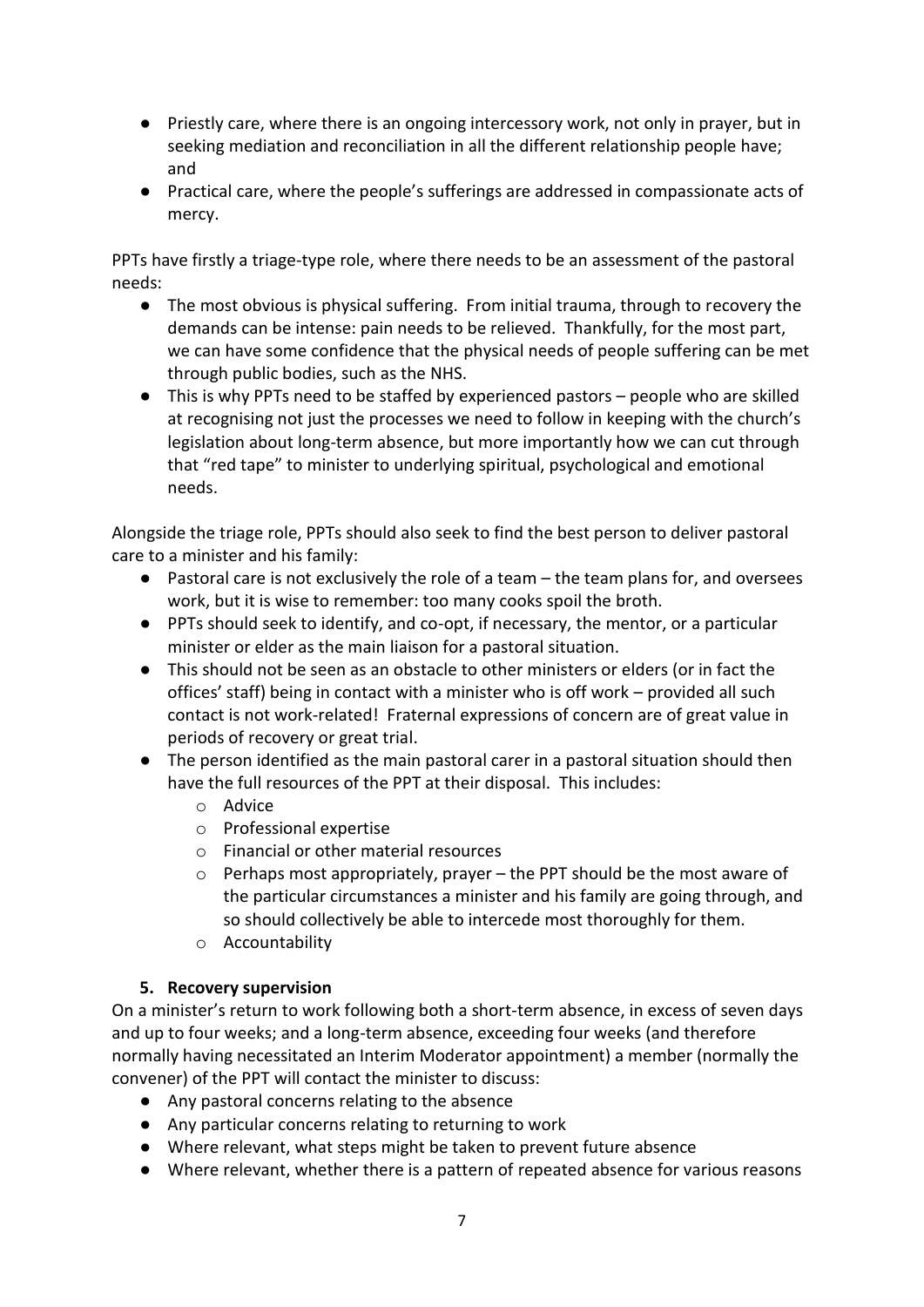- Priestly care, where there is an ongoing intercessory work, not only in prayer, but in seeking mediation and reconciliation in all the different relationship people have; and
- Practical care, where the people's sufferings are addressed in compassionate acts of mercy.

PPTs have firstly a triage-type role, where there needs to be an assessment of the pastoral needs:

- The most obvious is physical suffering. From initial trauma, through to recovery the demands can be intense: pain needs to be relieved. Thankfully, for the most part, we can have some confidence that the physical needs of people suffering can be met through public bodies, such as the NHS.
- This is why PPTs need to be staffed by experienced pastors people who are skilled at recognising not just the processes we need to follow in keeping with the church's legislation about long-term absence, but more importantly how we can cut through that "red tape" to minister to underlying spiritual, psychological and emotional needs.

Alongside the triage role, PPTs should also seek to find the best person to deliver pastoral care to a minister and his family:

- $\bullet$  Pastoral care is not exclusively the role of a team the team plans for, and oversees work, but it is wise to remember: too many cooks spoil the broth.
- PPTs should seek to identify, and co-opt, if necessary, the mentor, or a particular minister or elder as the main liaison for a pastoral situation.
- This should not be seen as an obstacle to other ministers or elders (or in fact the offices' staff) being in contact with a minister who is off work – provided all such contact is not work-related! Fraternal expressions of concern are of great value in periods of recovery or great trial.
- The person identified as the main pastoral carer in a pastoral situation should then have the full resources of the PPT at their disposal. This includes:
	- o Advice
	- o Professional expertise
	- o Financial or other material resources
	- o Perhaps most appropriately, prayer the PPT should be the most aware of the particular circumstances a minister and his family are going through, and so should collectively be able to intercede most thoroughly for them.
	- o Accountability

#### **5. Recovery supervision**

On a minister's return to work following both a short-term absence, in excess of seven days and up to four weeks; and a long-term absence, exceeding four weeks (and therefore normally having necessitated an Interim Moderator appointment) a member (normally the convener) of the PPT will contact the minister to discuss:

- Any pastoral concerns relating to the absence
- Any particular concerns relating to returning to work
- Where relevant, what steps might be taken to prevent future absence
- Where relevant, whether there is a pattern of repeated absence for various reasons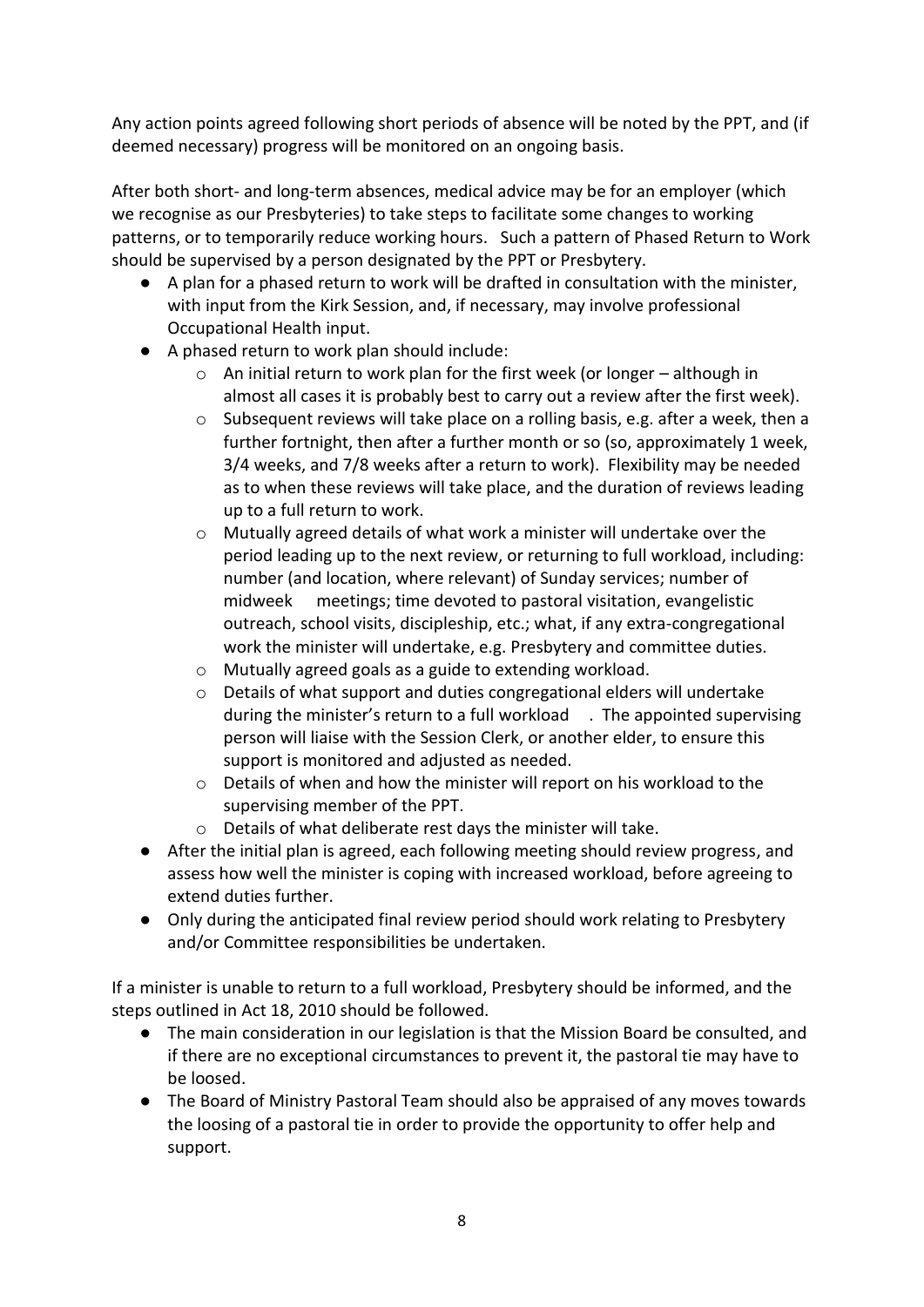Any action points agreed following short periods of absence will be noted by the PPT, and (if deemed necessary) progress will be monitored on an ongoing basis.

After both short- and long-term absences, medical advice may be for an employer (which we recognise as our Presbyteries) to take steps to facilitate some changes to working patterns, or to temporarily reduce working hours. Such a pattern of Phased Return to Work should be supervised by a person designated by the PPT or Presbytery.

- A plan for a phased return to work will be drafted in consultation with the minister, with input from the Kirk Session, and, if necessary, may involve professional Occupational Health input.
- A phased return to work plan should include:
	- $\circ$  An initial return to work plan for the first week (or longer although in almost all cases it is probably best to carry out a review after the first week).
	- o Subsequent reviews will take place on a rolling basis, e.g. after a week, then a further fortnight, then after a further month or so (so, approximately 1 week, 3/4 weeks, and 7/8 weeks after a return to work). Flexibility may be needed as to when these reviews will take place, and the duration of reviews leading up to a full return to work.
	- o Mutually agreed details of what work a minister will undertake over the period leading up to the next review, or returning to full workload, including: number (and location, where relevant) of Sunday services; number of midweek meetings; time devoted to pastoral visitation, evangelistic outreach, school visits, discipleship, etc.; what, if any extra-congregational work the minister will undertake, e.g. Presbytery and committee duties.
	- o Mutually agreed goals as a guide to extending workload.
	- o Details of what support and duties congregational elders will undertake during the minister's return to a full workload . The appointed supervising person will liaise with the Session Clerk, or another elder, to ensure this support is monitored and adjusted as needed.
	- $\circ$  Details of when and how the minister will report on his workload to the supervising member of the PPT.
	- o Details of what deliberate rest days the minister will take.
- After the initial plan is agreed, each following meeting should review progress, and assess how well the minister is coping with increased workload, before agreeing to extend duties further.
- Only during the anticipated final review period should work relating to Presbytery and/or Committee responsibilities be undertaken.

If a minister is unable to return to a full workload, Presbytery should be informed, and the steps outlined in Act 18, 2010 should be followed.

- The main consideration in our legislation is that the Mission Board be consulted, and if there are no exceptional circumstances to prevent it, the pastoral tie may have to be loosed.
- The Board of Ministry Pastoral Team should also be appraised of any moves towards the loosing of a pastoral tie in order to provide the opportunity to offer help and support.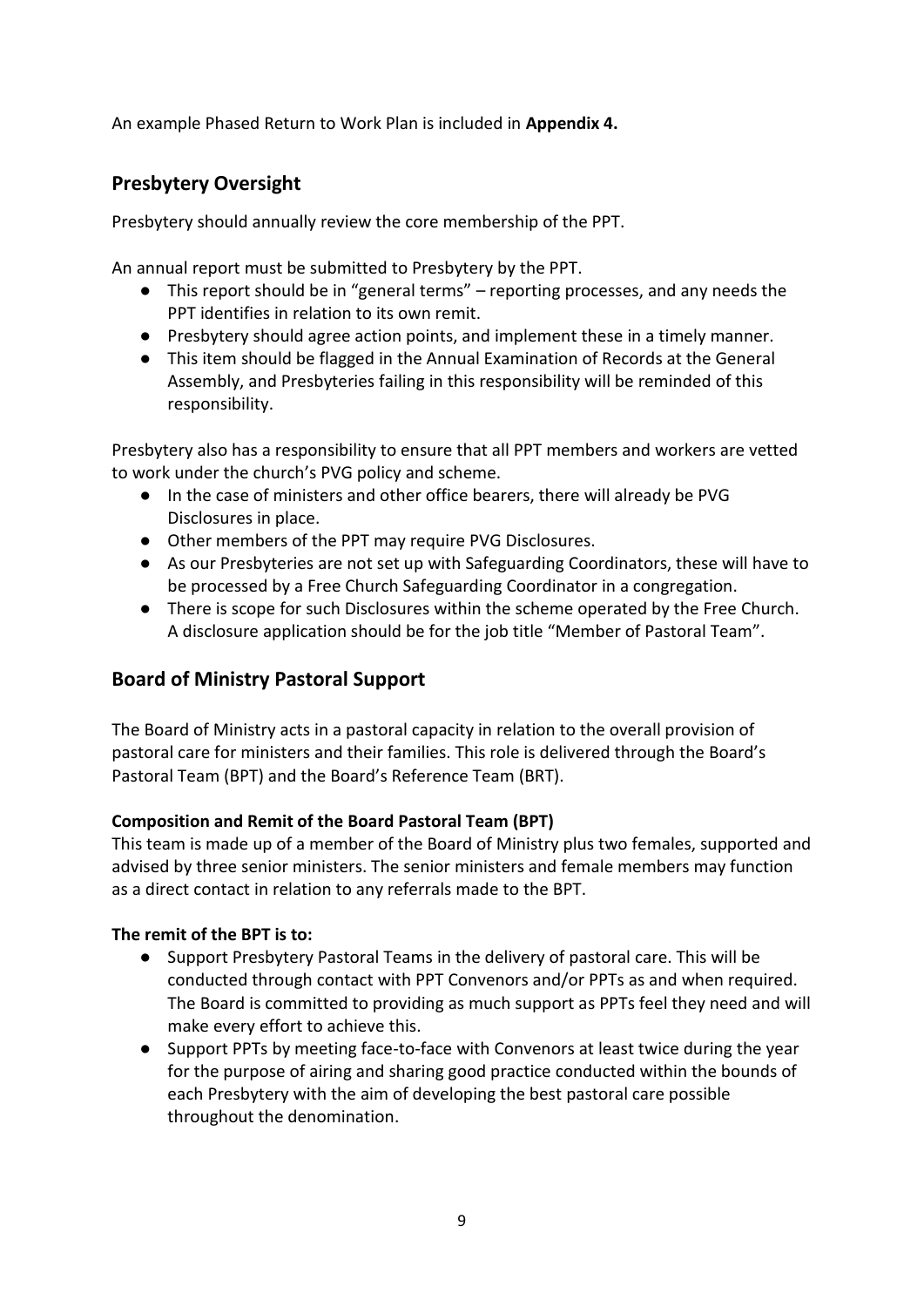An example Phased Return to Work Plan is included in **Appendix 4.**

## **Presbytery Oversight**

Presbytery should annually review the core membership of the PPT.

An annual report must be submitted to Presbytery by the PPT.

- This report should be in "general terms" reporting processes, and any needs the PPT identifies in relation to its own remit.
- Presbytery should agree action points, and implement these in a timely manner.
- This item should be flagged in the Annual Examination of Records at the General Assembly, and Presbyteries failing in this responsibility will be reminded of this responsibility.

Presbytery also has a responsibility to ensure that all PPT members and workers are vetted to work under the church's PVG policy and scheme.

- In the case of ministers and other office bearers, there will already be PVG Disclosures in place.
- Other members of the PPT may require PVG Disclosures.
- As our Presbyteries are not set up with Safeguarding Coordinators, these will have to be processed by a Free Church Safeguarding Coordinator in a congregation.
- There is scope for such Disclosures within the scheme operated by the Free Church. A disclosure application should be for the job title "Member of Pastoral Team".

## **Board of Ministry Pastoral Support**

The Board of Ministry acts in a pastoral capacity in relation to the overall provision of pastoral care for ministers and their families. This role is delivered through the Board's Pastoral Team (BPT) and the Board's Reference Team (BRT).

#### **Composition and Remit of the Board Pastoral Team (BPT)**

This team is made up of a member of the Board of Ministry plus two females, supported and advised by three senior ministers. The senior ministers and female members may function as a direct contact in relation to any referrals made to the BPT.

#### **The remit of the BPT is to:**

- Support Presbytery Pastoral Teams in the delivery of pastoral care. This will be conducted through contact with PPT Convenors and/or PPTs as and when required. The Board is committed to providing as much support as PPTs feel they need and will make every effort to achieve this.
- Support PPTs by meeting face-to-face with Convenors at least twice during the year for the purpose of airing and sharing good practice conducted within the bounds of each Presbytery with the aim of developing the best pastoral care possible throughout the denomination.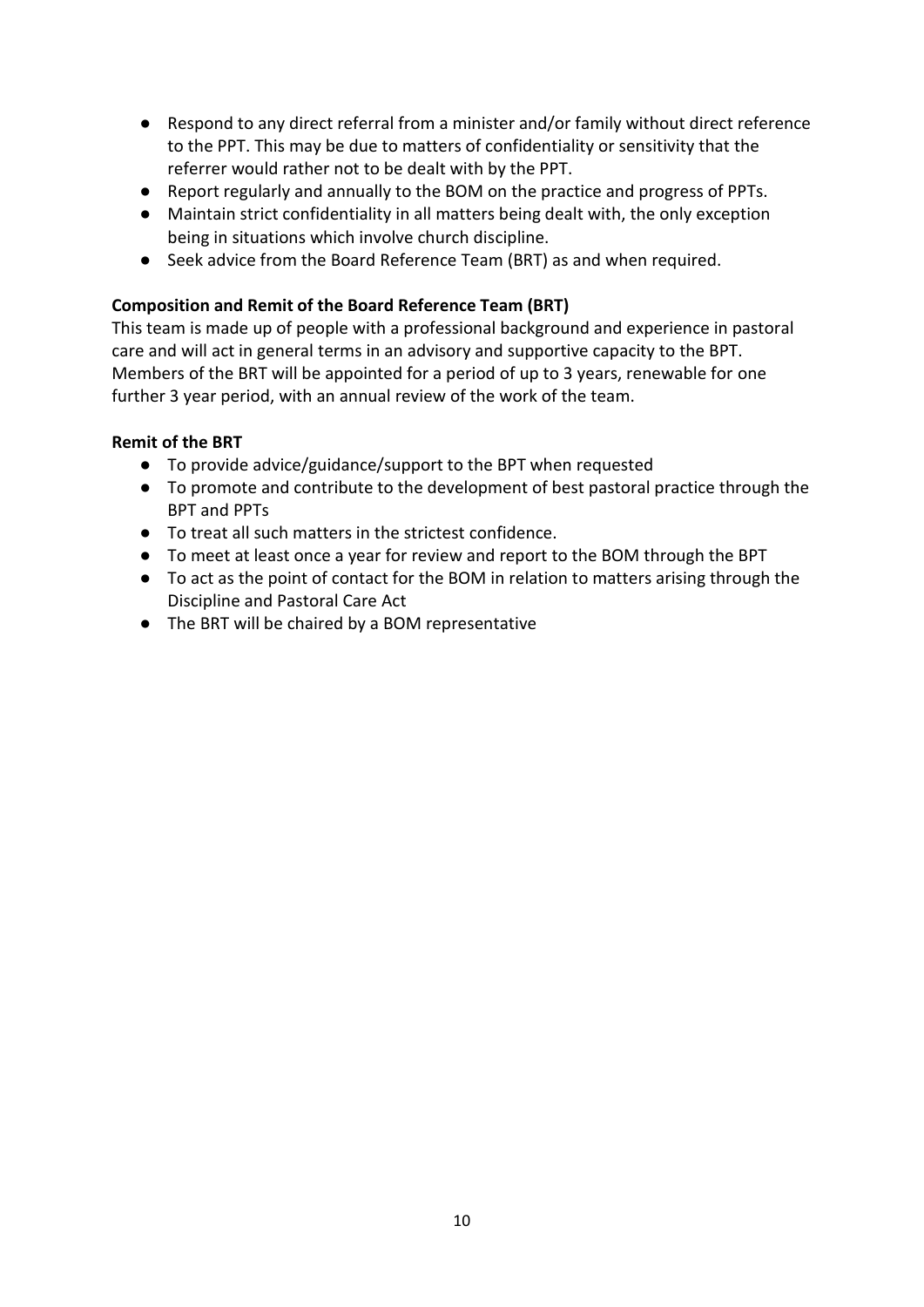- Respond to any direct referral from a minister and/or family without direct reference to the PPT. This may be due to matters of confidentiality or sensitivity that the referrer would rather not to be dealt with by the PPT.
- Report regularly and annually to the BOM on the practice and progress of PPTs.
- Maintain strict confidentiality in all matters being dealt with, the only exception being in situations which involve church discipline.
- Seek advice from the Board Reference Team (BRT) as and when required.

#### **Composition and Remit of the Board Reference Team (BRT)**

This team is made up of people with a professional background and experience in pastoral care and will act in general terms in an advisory and supportive capacity to the BPT. Members of the BRT will be appointed for a period of up to 3 years, renewable for one further 3 year period, with an annual review of the work of the team.

#### **Remit of the BRT**

- To provide advice/guidance/support to the BPT when requested
- To promote and contribute to the development of best pastoral practice through the BPT and PPTs
- To treat all such matters in the strictest confidence.
- To meet at least once a year for review and report to the BOM through the BPT
- To act as the point of contact for the BOM in relation to matters arising through the Discipline and Pastoral Care Act
- The BRT will be chaired by a BOM representative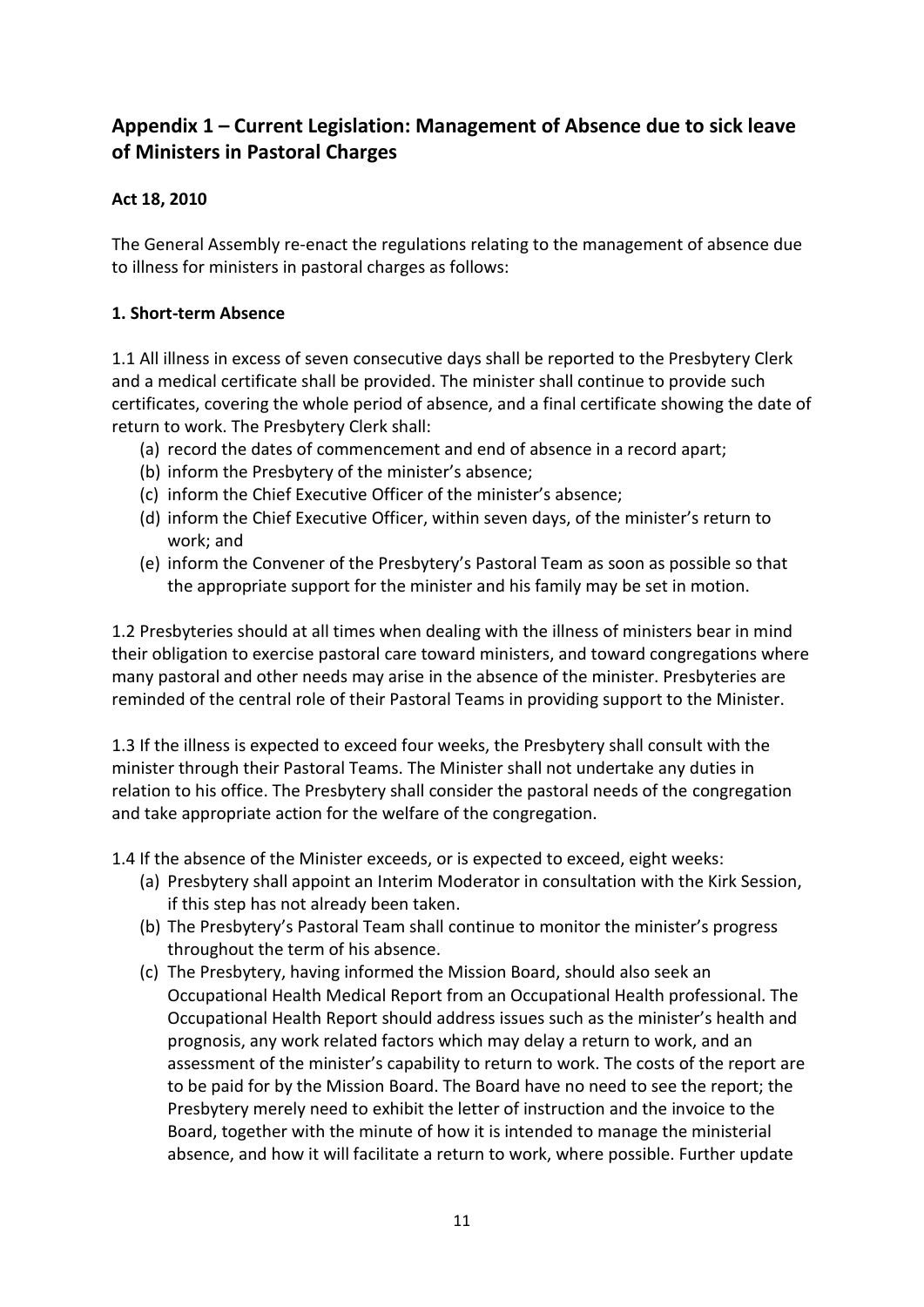## **Appendix 1 – Current Legislation: Management of Absence due to sick leave of Ministers in Pastoral Charges**

#### **Act 18, 2010**

The General Assembly re-enact the regulations relating to the management of absence due to illness for ministers in pastoral charges as follows:

#### **1. Short-term Absence**

1.1 All illness in excess of seven consecutive days shall be reported to the Presbytery Clerk and a medical certificate shall be provided. The minister shall continue to provide such certificates, covering the whole period of absence, and a final certificate showing the date of return to work. The Presbytery Clerk shall:

- (a) record the dates of commencement and end of absence in a record apart;
- (b) inform the Presbytery of the minister's absence;
- (c) inform the Chief Executive Officer of the minister's absence;
- (d) inform the Chief Executive Officer, within seven days, of the minister's return to work; and
- (e) inform the Convener of the Presbytery's Pastoral Team as soon as possible so that the appropriate support for the minister and his family may be set in motion.

1.2 Presbyteries should at all times when dealing with the illness of ministers bear in mind their obligation to exercise pastoral care toward ministers, and toward congregations where many pastoral and other needs may arise in the absence of the minister. Presbyteries are reminded of the central role of their Pastoral Teams in providing support to the Minister.

1.3 If the illness is expected to exceed four weeks, the Presbytery shall consult with the minister through their Pastoral Teams. The Minister shall not undertake any duties in relation to his office. The Presbytery shall consider the pastoral needs of the congregation and take appropriate action for the welfare of the congregation.

1.4 If the absence of the Minister exceeds, or is expected to exceed, eight weeks:

- (a) Presbytery shall appoint an Interim Moderator in consultation with the Kirk Session, if this step has not already been taken.
- (b) The Presbytery's Pastoral Team shall continue to monitor the minister's progress throughout the term of his absence.
- (c) The Presbytery, having informed the Mission Board, should also seek an Occupational Health Medical Report from an Occupational Health professional. The Occupational Health Report should address issues such as the minister's health and prognosis, any work related factors which may delay a return to work, and an assessment of the minister's capability to return to work. The costs of the report are to be paid for by the Mission Board. The Board have no need to see the report; the Presbytery merely need to exhibit the letter of instruction and the invoice to the Board, together with the minute of how it is intended to manage the ministerial absence, and how it will facilitate a return to work, where possible. Further update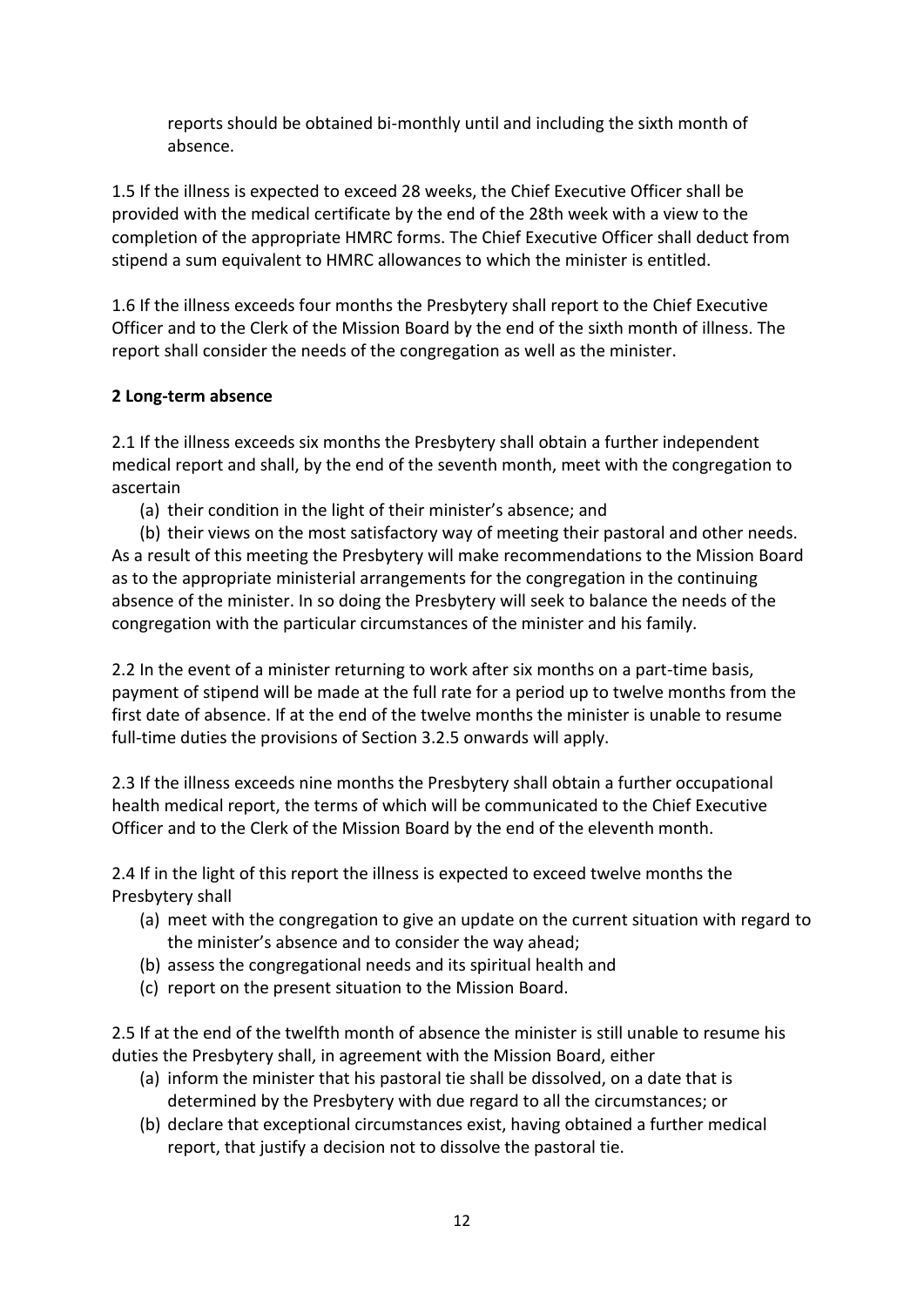reports should be obtained bi-monthly until and including the sixth month of absence.

1.5 If the illness is expected to exceed 28 weeks, the Chief Executive Officer shall be provided with the medical certificate by the end of the 28th week with a view to the completion of the appropriate HMRC forms. The Chief Executive Officer shall deduct from stipend a sum equivalent to HMRC allowances to which the minister is entitled.

1.6 If the illness exceeds four months the Presbytery shall report to the Chief Executive Officer and to the Clerk of the Mission Board by the end of the sixth month of illness. The report shall consider the needs of the congregation as well as the minister.

#### **2 Long-term absence**

2.1 If the illness exceeds six months the Presbytery shall obtain a further independent medical report and shall, by the end of the seventh month, meet with the congregation to ascertain

(a) their condition in the light of their minister's absence; and

(b) their views on the most satisfactory way of meeting their pastoral and other needs. As a result of this meeting the Presbytery will make recommendations to the Mission Board as to the appropriate ministerial arrangements for the congregation in the continuing absence of the minister. In so doing the Presbytery will seek to balance the needs of the congregation with the particular circumstances of the minister and his family.

2.2 In the event of a minister returning to work after six months on a part-time basis, payment of stipend will be made at the full rate for a period up to twelve months from the first date of absence. If at the end of the twelve months the minister is unable to resume full-time duties the provisions of Section 3.2.5 onwards will apply.

2.3 If the illness exceeds nine months the Presbytery shall obtain a further occupational health medical report, the terms of which will be communicated to the Chief Executive Officer and to the Clerk of the Mission Board by the end of the eleventh month.

2.4 If in the light of this report the illness is expected to exceed twelve months the Presbytery shall

- (a) meet with the congregation to give an update on the current situation with regard to the minister's absence and to consider the way ahead;
- (b) assess the congregational needs and its spiritual health and
- (c) report on the present situation to the Mission Board.

2.5 If at the end of the twelfth month of absence the minister is still unable to resume his duties the Presbytery shall, in agreement with the Mission Board, either

- (a) inform the minister that his pastoral tie shall be dissolved, on a date that is determined by the Presbytery with due regard to all the circumstances; or
- (b) declare that exceptional circumstances exist, having obtained a further medical report, that justify a decision not to dissolve the pastoral tie.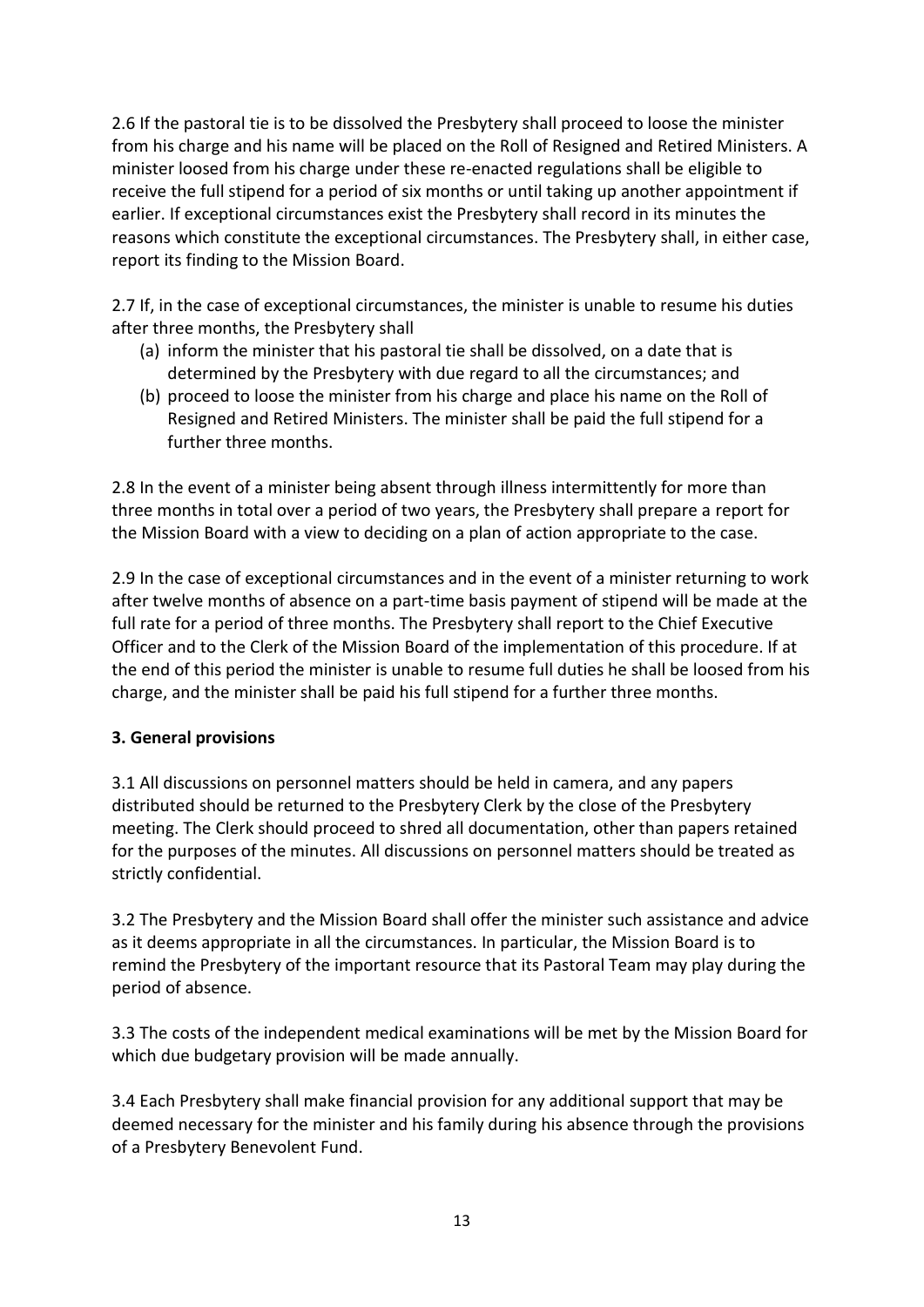2.6 If the pastoral tie is to be dissolved the Presbytery shall proceed to loose the minister from his charge and his name will be placed on the Roll of Resigned and Retired Ministers. A minister loosed from his charge under these re-enacted regulations shall be eligible to receive the full stipend for a period of six months or until taking up another appointment if earlier. If exceptional circumstances exist the Presbytery shall record in its minutes the reasons which constitute the exceptional circumstances. The Presbytery shall, in either case, report its finding to the Mission Board.

2.7 If, in the case of exceptional circumstances, the minister is unable to resume his duties after three months, the Presbytery shall

- (a) inform the minister that his pastoral tie shall be dissolved, on a date that is determined by the Presbytery with due regard to all the circumstances; and
- (b) proceed to loose the minister from his charge and place his name on the Roll of Resigned and Retired Ministers. The minister shall be paid the full stipend for a further three months.

2.8 In the event of a minister being absent through illness intermittently for more than three months in total over a period of two years, the Presbytery shall prepare a report for the Mission Board with a view to deciding on a plan of action appropriate to the case.

2.9 In the case of exceptional circumstances and in the event of a minister returning to work after twelve months of absence on a part-time basis payment of stipend will be made at the full rate for a period of three months. The Presbytery shall report to the Chief Executive Officer and to the Clerk of the Mission Board of the implementation of this procedure. If at the end of this period the minister is unable to resume full duties he shall be loosed from his charge, and the minister shall be paid his full stipend for a further three months.

#### **3. General provisions**

3.1 All discussions on personnel matters should be held in camera, and any papers distributed should be returned to the Presbytery Clerk by the close of the Presbytery meeting. The Clerk should proceed to shred all documentation, other than papers retained for the purposes of the minutes. All discussions on personnel matters should be treated as strictly confidential.

3.2 The Presbytery and the Mission Board shall offer the minister such assistance and advice as it deems appropriate in all the circumstances. In particular, the Mission Board is to remind the Presbytery of the important resource that its Pastoral Team may play during the period of absence.

3.3 The costs of the independent medical examinations will be met by the Mission Board for which due budgetary provision will be made annually.

3.4 Each Presbytery shall make financial provision for any additional support that may be deemed necessary for the minister and his family during his absence through the provisions of a Presbytery Benevolent Fund.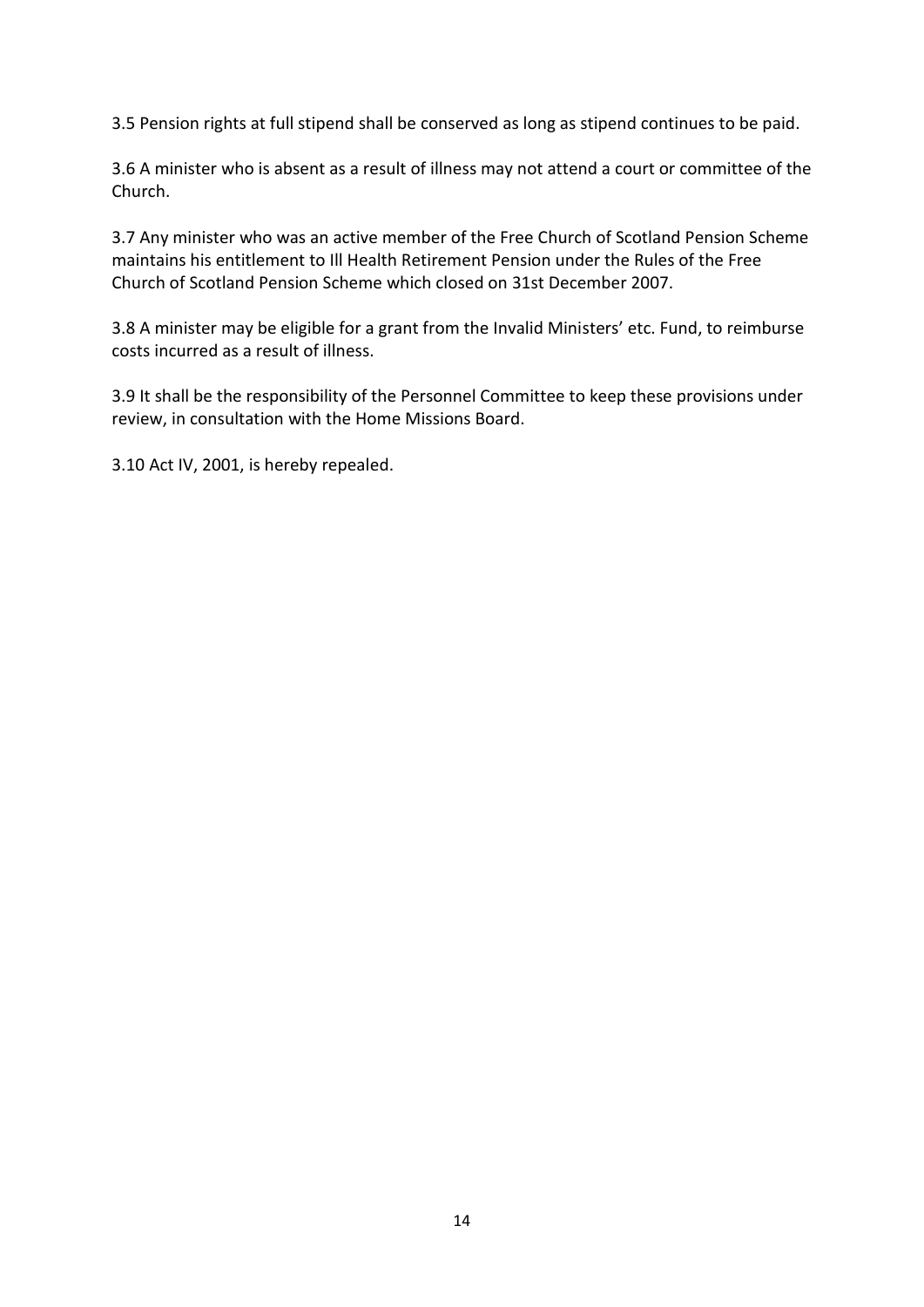3.5 Pension rights at full stipend shall be conserved as long as stipend continues to be paid.

3.6 A minister who is absent as a result of illness may not attend a court or committee of the Church.

3.7 Any minister who was an active member of the Free Church of Scotland Pension Scheme maintains his entitlement to Ill Health Retirement Pension under the Rules of the Free Church of Scotland Pension Scheme which closed on 31st December 2007.

3.8 A minister may be eligible for a grant from the Invalid Ministers' etc. Fund, to reimburse costs incurred as a result of illness.

3.9 It shall be the responsibility of the Personnel Committee to keep these provisions under review, in consultation with the Home Missions Board.

3.10 Act IV, 2001, is hereby repealed.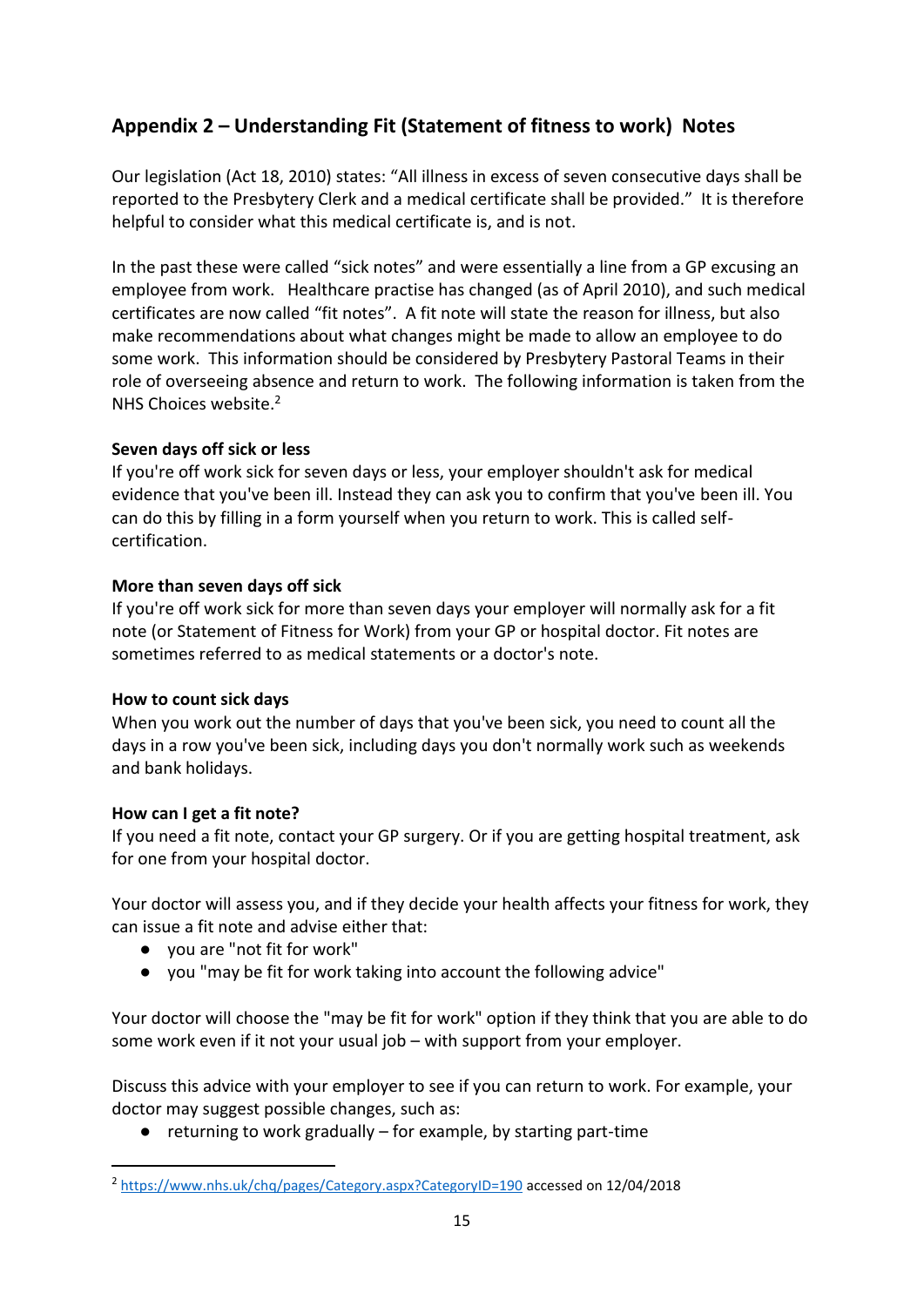## **Appendix 2 – Understanding Fit (Statement of fitness to work) Notes**

Our legislation (Act 18, 2010) states: "All illness in excess of seven consecutive days shall be reported to the Presbytery Clerk and a medical certificate shall be provided." It is therefore helpful to consider what this medical certificate is, and is not.

In the past these were called "sick notes" and were essentially a line from a GP excusing an employee from work. Healthcare practise has changed (as of April 2010), and such medical certificates are now called "fit notes". A fit note will state the reason for illness, but also make recommendations about what changes might be made to allow an employee to do some work. This information should be considered by Presbytery Pastoral Teams in their role of overseeing absence and return to work. The following information is taken from the NHS Choices website.<sup>2</sup>

#### **Seven days off sick or less**

If you're off work sick for seven days or less, your employer shouldn't ask for medical evidence that you've been ill. Instead they can ask you to confirm that you've been ill. You can do this by filling in a form yourself when you return to work. This is called selfcertification.

#### **More than seven days off sick**

If you're off work sick for more than seven days your employer will normally ask for a fit note (or Statement of Fitness for Work) from your GP or hospital doctor. Fit notes are sometimes referred to as medical statements or a doctor's note.

#### **How to count sick days**

When you work out the number of days that you've been sick, you need to count all the days in a row you've been sick, including days you don't normally work such as weekends and bank holidays.

#### **How can I get a fit note?**

 $\overline{\phantom{a}}$ 

If you need a fit note, contact your GP surgery. Or if you are getting hospital treatment, ask for one from your hospital doctor.

Your doctor will assess you, and if they decide your health affects your fitness for work, they can issue a fit note and advise either that:

- you are "not fit for work"
- you "may be fit for work taking into account the following advice"

Your doctor will choose the "may be fit for work" option if they think that you are able to do some work even if it not your usual job – with support from your employer.

Discuss this advice with your employer to see if you can return to work. For example, your doctor may suggest possible changes, such as:

 $\bullet$  returning to work gradually – for example, by starting part-time

<sup>&</sup>lt;sup>2</sup> <https://www.nhs.uk/chq/pages/Category.aspx?CategoryID=190> accessed on 12/04/2018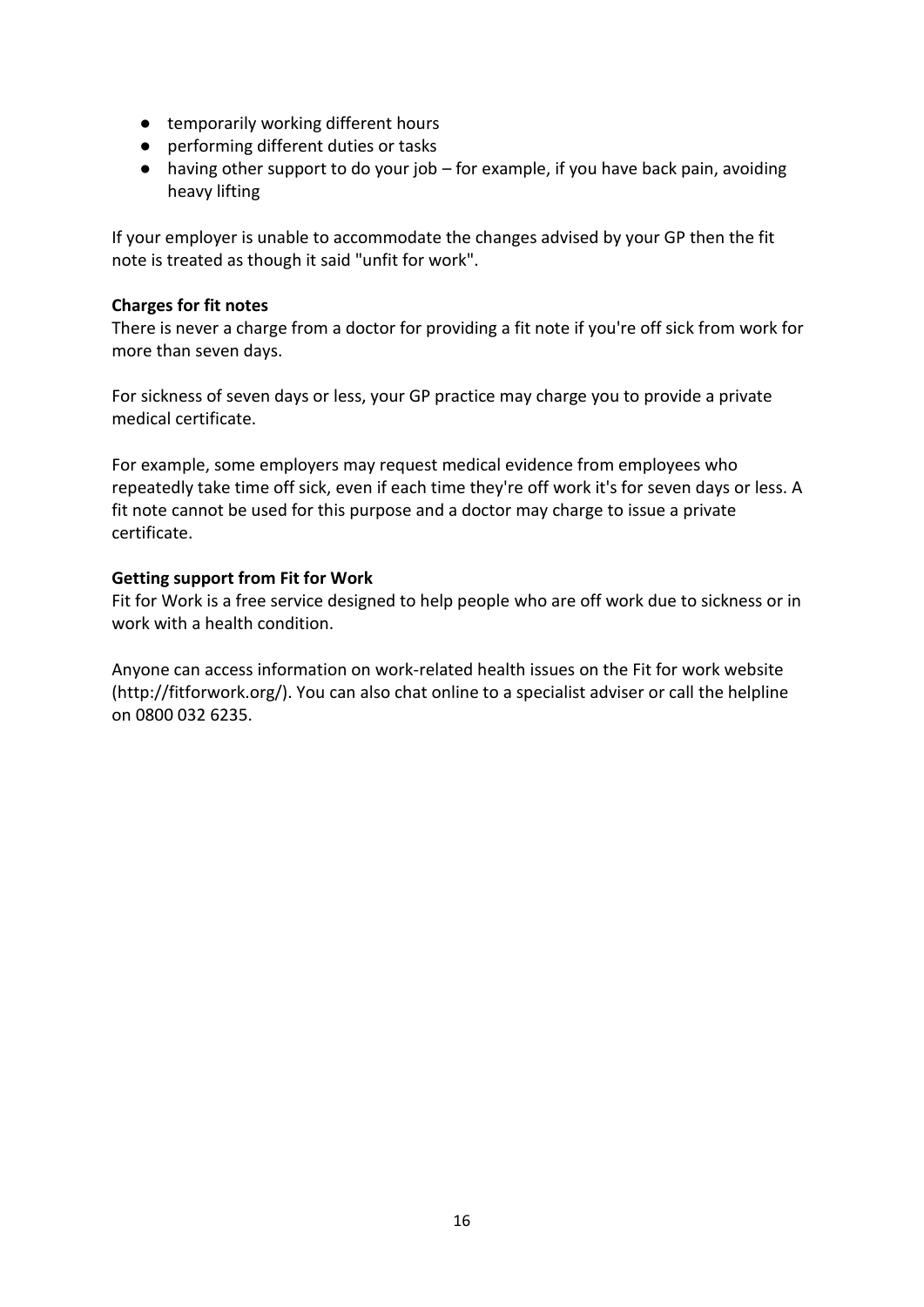- temporarily working different hours
- performing different duties or tasks
- $\bullet$  having other support to do your job for example, if you have back pain, avoiding heavy lifting

If your employer is unable to accommodate the changes advised by your GP then the fit note is treated as though it said "unfit for work".

#### **Charges for fit notes**

There is never a charge from a doctor for providing a fit note if you're off sick from work for more than seven days.

For sickness of seven days or less, your GP practice may charge you to provide a private medical certificate.

For example, some employers may request medical evidence from employees who repeatedly take time off sick, even if each time they're off work it's for seven days or less. A fit note cannot be used for this purpose and a doctor may charge to issue a private certificate.

#### **Getting support from Fit for Work**

Fit for Work is a free service designed to help people who are off work due to sickness or in work with a health condition.

Anyone can access information on work-related health issues on the Fit for work website (http://fitforwork.org/). You can also chat online to a specialist adviser or call the helpline on 0800 032 6235.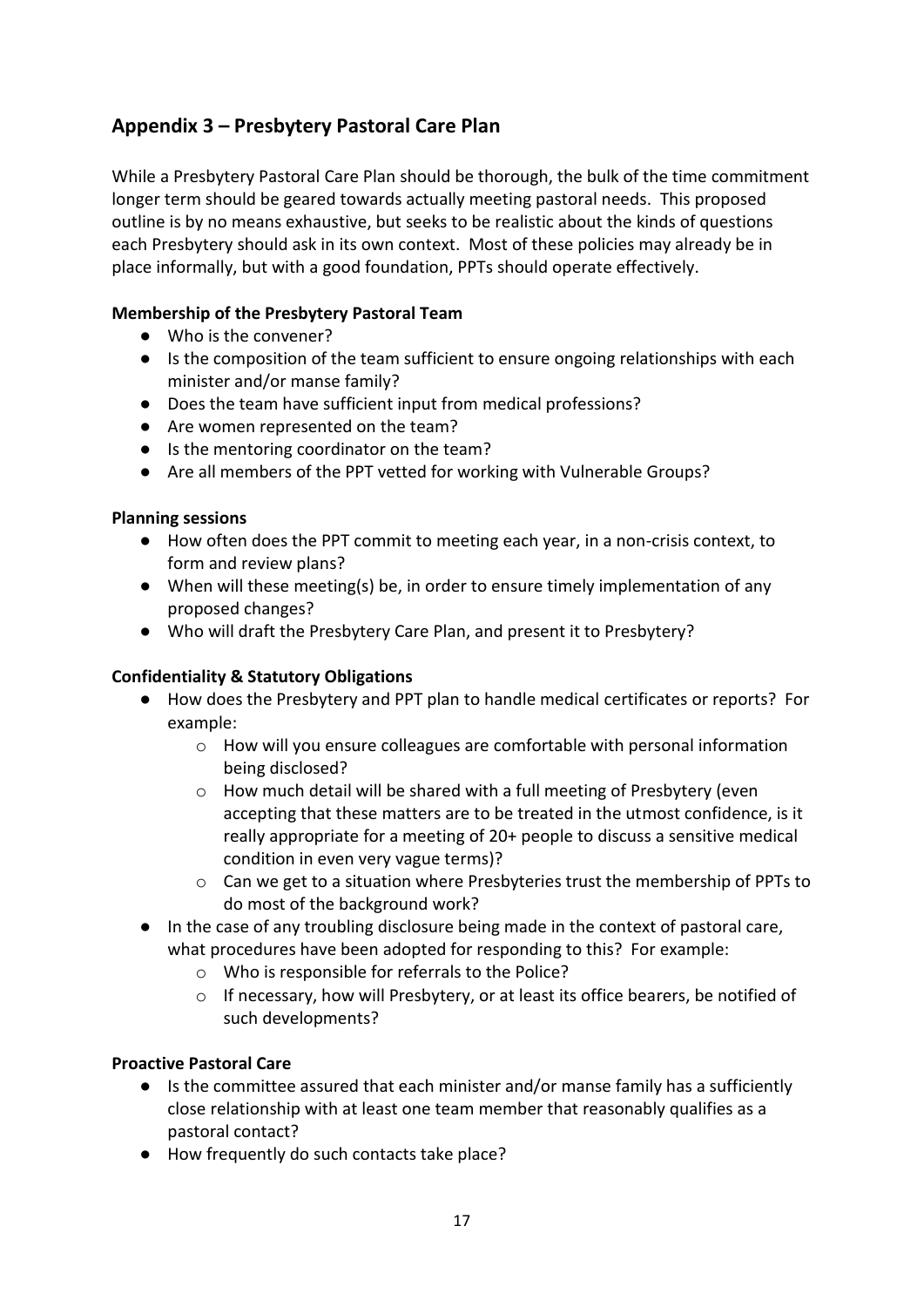## **Appendix 3 – Presbytery Pastoral Care Plan**

While a Presbytery Pastoral Care Plan should be thorough, the bulk of the time commitment longer term should be geared towards actually meeting pastoral needs. This proposed outline is by no means exhaustive, but seeks to be realistic about the kinds of questions each Presbytery should ask in its own context. Most of these policies may already be in place informally, but with a good foundation, PPTs should operate effectively.

#### **Membership of the Presbytery Pastoral Team**

- Who is the convener?
- Is the composition of the team sufficient to ensure ongoing relationships with each minister and/or manse family?
- Does the team have sufficient input from medical professions?
- Are women represented on the team?
- Is the mentoring coordinator on the team?
- Are all members of the PPT vetted for working with Vulnerable Groups?

#### **Planning sessions**

- How often does the PPT commit to meeting each year, in a non-crisis context, to form and review plans?
- When will these meeting(s) be, in order to ensure timely implementation of any proposed changes?
- Who will draft the Presbytery Care Plan, and present it to Presbytery?

#### **Confidentiality & Statutory Obligations**

- How does the Presbytery and PPT plan to handle medical certificates or reports? For example:
	- $\circ$  How will you ensure colleagues are comfortable with personal information being disclosed?
	- $\circ$  How much detail will be shared with a full meeting of Presbytery (even accepting that these matters are to be treated in the utmost confidence, is it really appropriate for a meeting of 20+ people to discuss a sensitive medical condition in even very vague terms)?
	- o Can we get to a situation where Presbyteries trust the membership of PPTs to do most of the background work?
- In the case of any troubling disclosure being made in the context of pastoral care, what procedures have been adopted for responding to this? For example:
	- o Who is responsible for referrals to the Police?
	- $\circ$  If necessary, how will Presbytery, or at least its office bearers, be notified of such developments?

#### **Proactive Pastoral Care**

- Is the committee assured that each minister and/or manse family has a sufficiently close relationship with at least one team member that reasonably qualifies as a pastoral contact?
- How frequently do such contacts take place?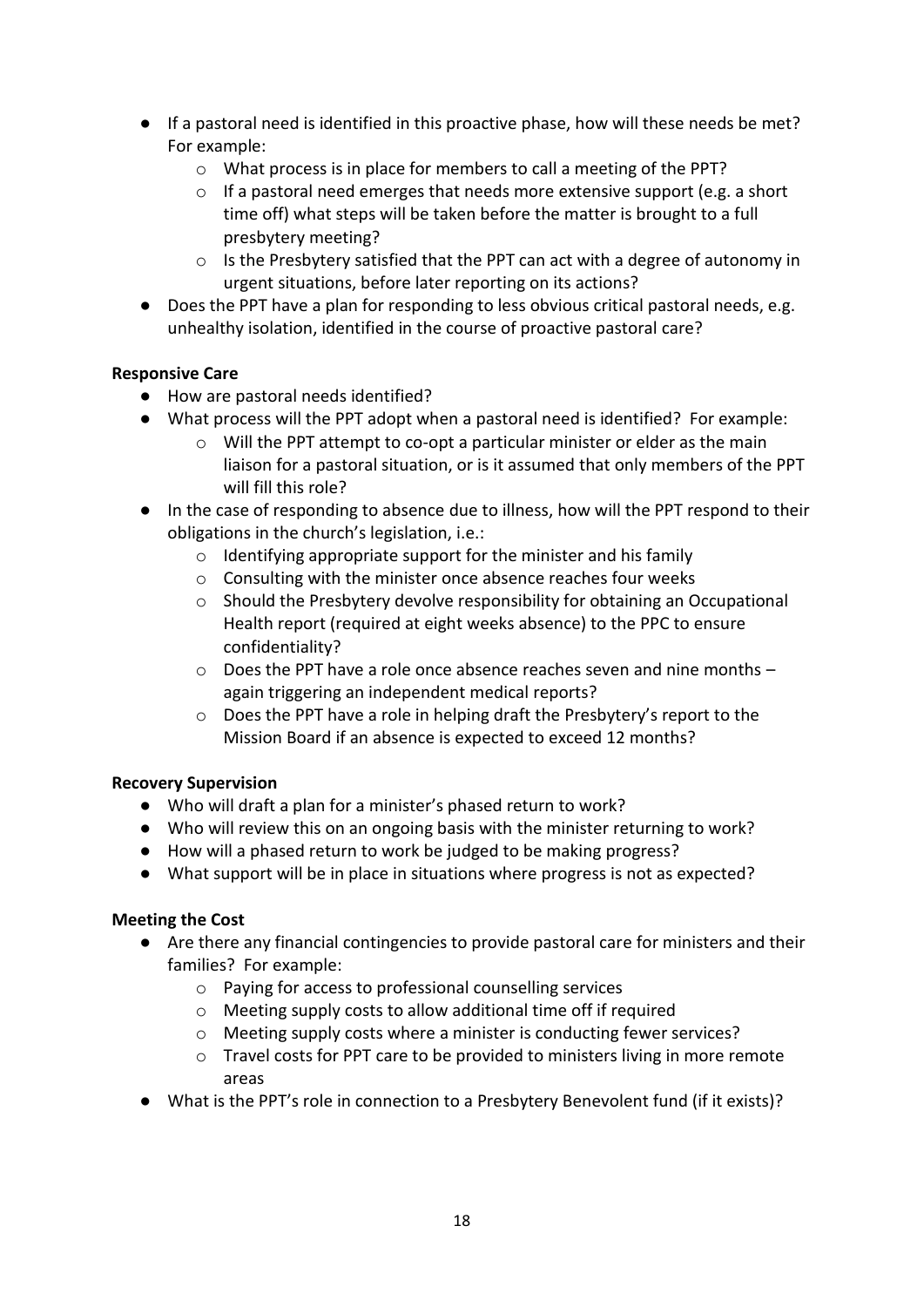- If a pastoral need is identified in this proactive phase, how will these needs be met? For example:
	- o What process is in place for members to call a meeting of the PPT?
	- $\circ$  If a pastoral need emerges that needs more extensive support (e.g. a short time off) what steps will be taken before the matter is brought to a full presbytery meeting?
	- $\circ$  Is the Presbytery satisfied that the PPT can act with a degree of autonomy in urgent situations, before later reporting on its actions?
- Does the PPT have a plan for responding to less obvious critical pastoral needs, e.g. unhealthy isolation, identified in the course of proactive pastoral care?

#### **Responsive Care**

- How are pastoral needs identified?
- What process will the PPT adopt when a pastoral need is identified? For example:
	- o Will the PPT attempt to co-opt a particular minister or elder as the main liaison for a pastoral situation, or is it assumed that only members of the PPT will fill this role?
- In the case of responding to absence due to illness, how will the PPT respond to their obligations in the church's legislation, i.e.:
	- $\circ$  Identifying appropriate support for the minister and his family
	- o Consulting with the minister once absence reaches four weeks
	- $\circ$  Should the Presbytery devolve responsibility for obtaining an Occupational Health report (required at eight weeks absence) to the PPC to ensure confidentiality?
	- o Does the PPT have a role once absence reaches seven and nine months again triggering an independent medical reports?
	- o Does the PPT have a role in helping draft the Presbytery's report to the Mission Board if an absence is expected to exceed 12 months?

#### **Recovery Supervision**

- Who will draft a plan for a minister's phased return to work?
- Who will review this on an ongoing basis with the minister returning to work?
- How will a phased return to work be judged to be making progress?
- What support will be in place in situations where progress is not as expected?

#### **Meeting the Cost**

- Are there any financial contingencies to provide pastoral care for ministers and their families? For example:
	- o Paying for access to professional counselling services
	- o Meeting supply costs to allow additional time off if required
	- o Meeting supply costs where a minister is conducting fewer services?
	- $\circ$  Travel costs for PPT care to be provided to ministers living in more remote areas
- What is the PPT's role in connection to a Presbytery Benevolent fund (if it exists)?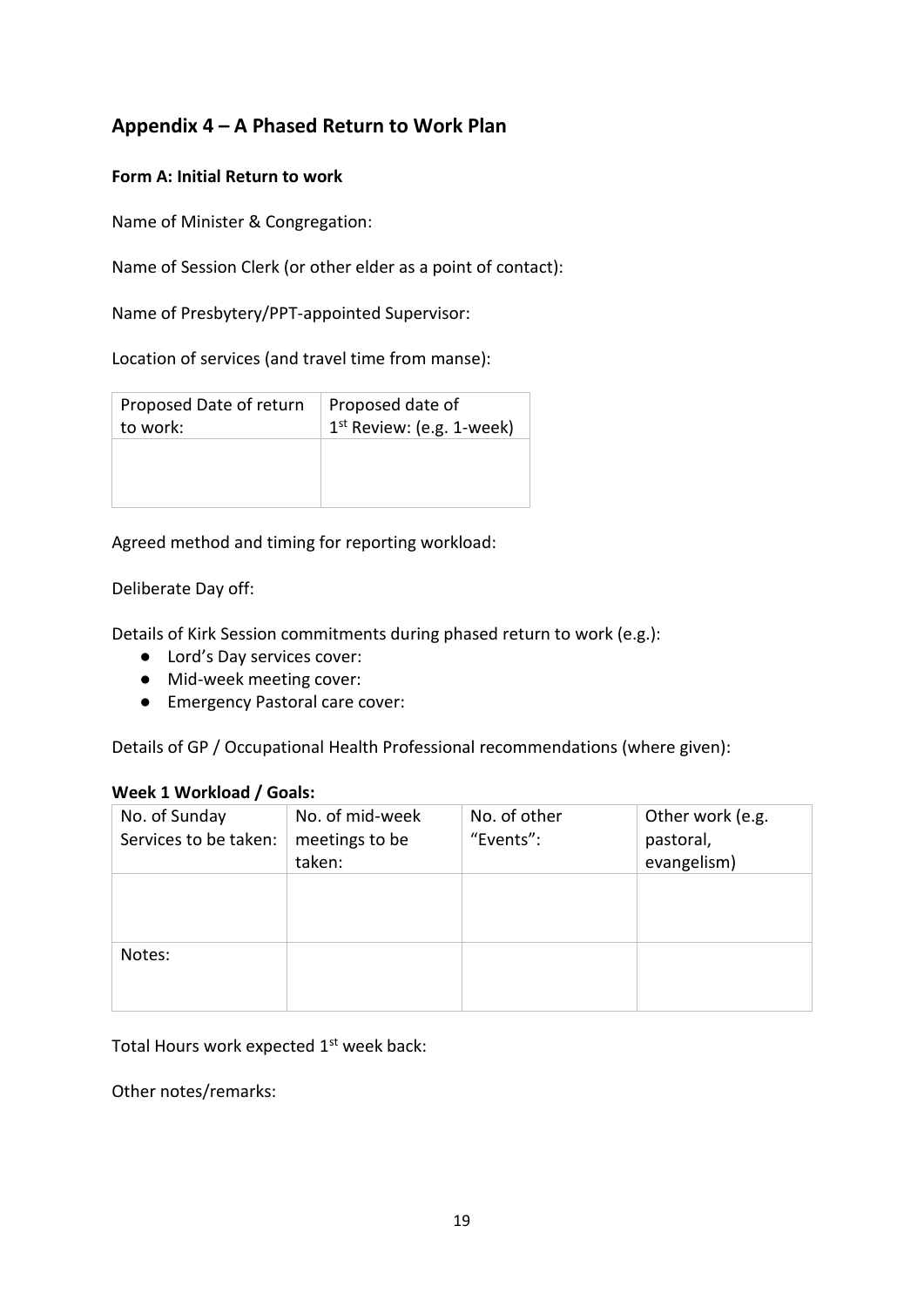## **Appendix 4 – A Phased Return to Work Plan**

#### **Form A: Initial Return to work**

Name of Minister & Congregation:

Name of Session Clerk (or other elder as a point of contact):

Name of Presbytery/PPT-appointed Supervisor:

Location of services (and travel time from manse):

| Proposed Date of return | Proposed date of                      |
|-------------------------|---------------------------------------|
| to work:                | 1 <sup>st</sup> Review: (e.g. 1-week) |
|                         |                                       |

Agreed method and timing for reporting workload:

Deliberate Day off:

Details of Kirk Session commitments during phased return to work (e.g.):

- Lord's Day services cover:
- Mid-week meeting cover:
- Emergency Pastoral care cover:

Details of GP / Occupational Health Professional recommendations (where given):

#### **Week 1 Workload / Goals:**

| No. of Sunday<br>Services to be taken: | No. of mid-week<br>meetings to be | No. of other<br>"Events": | Other work (e.g.<br>pastoral, |
|----------------------------------------|-----------------------------------|---------------------------|-------------------------------|
|                                        |                                   |                           |                               |
|                                        | taken:                            |                           | evangelism)                   |
|                                        |                                   |                           |                               |
|                                        |                                   |                           |                               |
|                                        |                                   |                           |                               |
| Notes:                                 |                                   |                           |                               |
|                                        |                                   |                           |                               |
|                                        |                                   |                           |                               |
|                                        |                                   |                           |                               |

Total Hours work expected 1<sup>st</sup> week back:

Other notes/remarks: